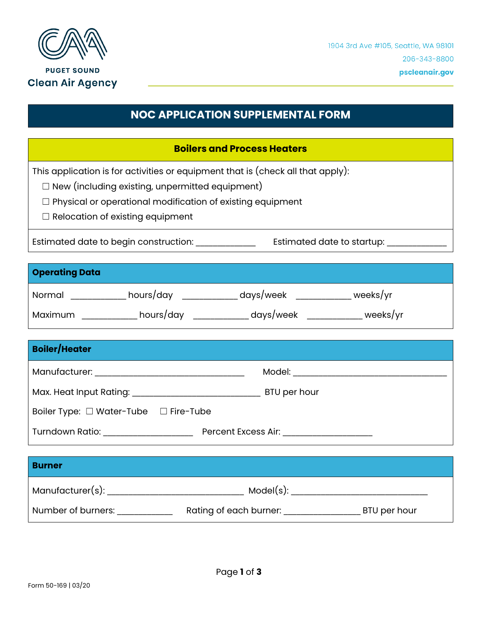

## **NOC APPLICATION SUPPLEMENTAL FORM**

## **Boilers and Process Heaters**

This application is for activities or equipment that is (check all that apply):

☐ New (including existing, unpermitted equipment)

☐ Physical or operational modification of existing equipment

☐ Relocation of existing equipment

Estimated date to begin construction: \_\_\_\_\_\_\_\_\_\_\_\_\_\_ Estimated date to startup: \_\_\_\_\_\_\_\_\_\_\_\_\_\_

## **Operating Data**

| Normal  | hours/day | days/week | weeks/yr |
|---------|-----------|-----------|----------|
| Maximum | hours/day | days/week | weeks/yr |

| <b>Boiler/Heater</b>                            |                                                                                                                                                                                                                                |
|-------------------------------------------------|--------------------------------------------------------------------------------------------------------------------------------------------------------------------------------------------------------------------------------|
|                                                 | Model: _____________________                                                                                                                                                                                                   |
|                                                 | BTU per hour                                                                                                                                                                                                                   |
| Boiler Type: $\Box$ Water-Tube $\Box$ Fire-Tube |                                                                                                                                                                                                                                |
| Turndown Ratio: Turndown Ratio                  | Percent Excess Air: The control of the control of the control of the control of the control of the control of the control of the control of the control of the control of the control of the control of the control of the con |

| <b>Burner</b>      |                                        |
|--------------------|----------------------------------------|
| Manufacturer(s):   | Model(s):                              |
| Number of burners: | Rating of each burner:<br>BTU per hour |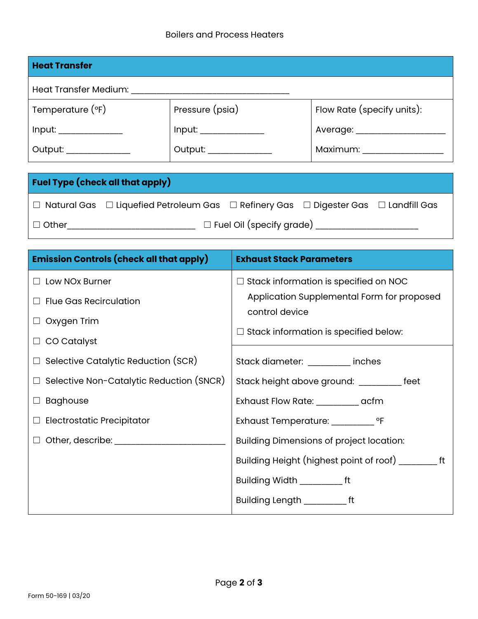| <b>Heat Transfer</b>  |                            |  |  |
|-----------------------|----------------------------|--|--|
| Heat Transfer Medium: |                            |  |  |
| Pressure (psia)       | Flow Rate (specify units): |  |  |
| Input:                | Average: ______            |  |  |
| Output: _________     | Maximum: _______           |  |  |
|                       |                            |  |  |

|              | <b>Fuel Type (check all that apply)</b>                                                                       |                                 |  |
|--------------|---------------------------------------------------------------------------------------------------------------|---------------------------------|--|
|              | $\Box$ Natural Gas $\Box$ Liquefied Petroleum Gas $\Box$ Refinery Gas $\Box$ Digester Gas $\Box$ Landfill Gas |                                 |  |
| $\Box$ Other |                                                                                                               | $\Box$ Fuel Oil (specify grade) |  |

| <b>Emission Controls (check all that apply)</b> | <b>Exhaust Stack Parameters</b>                                                                                                                              |  |
|-------------------------------------------------|--------------------------------------------------------------------------------------------------------------------------------------------------------------|--|
| $\Box$ Low NOx Burner                           | $\Box$ Stack information is specified on NOC<br>Application Supplemental Form for proposed<br>control device<br>$\Box$ Stack information is specified below: |  |
| $\Box$ Flue Gas Recirculation                   |                                                                                                                                                              |  |
| $\Box$ Oxygen Trim                              |                                                                                                                                                              |  |
| $\Box$ CO Catalyst                              |                                                                                                                                                              |  |
| $\Box$ Selective Catalytic Reduction (SCR)      | Stack diameter: __________ inches                                                                                                                            |  |
| $\Box$ Selective Non-Catalytic Reduction (SNCR) | Stack height above ground: __________ feet                                                                                                                   |  |
| $\Box$ Baghouse                                 | Exhaust Flow Rate: ___________ acfm                                                                                                                          |  |
| $\Box$ Electrostatic Precipitator               | Exhaust Temperature: ___________ °F                                                                                                                          |  |
| $\Box$ Other, describe: $\Box$                  | <b>Building Dimensions of project location:</b>                                                                                                              |  |
|                                                 |                                                                                                                                                              |  |
|                                                 | Building Width ______________ ft                                                                                                                             |  |
|                                                 | Building Length ________ft                                                                                                                                   |  |